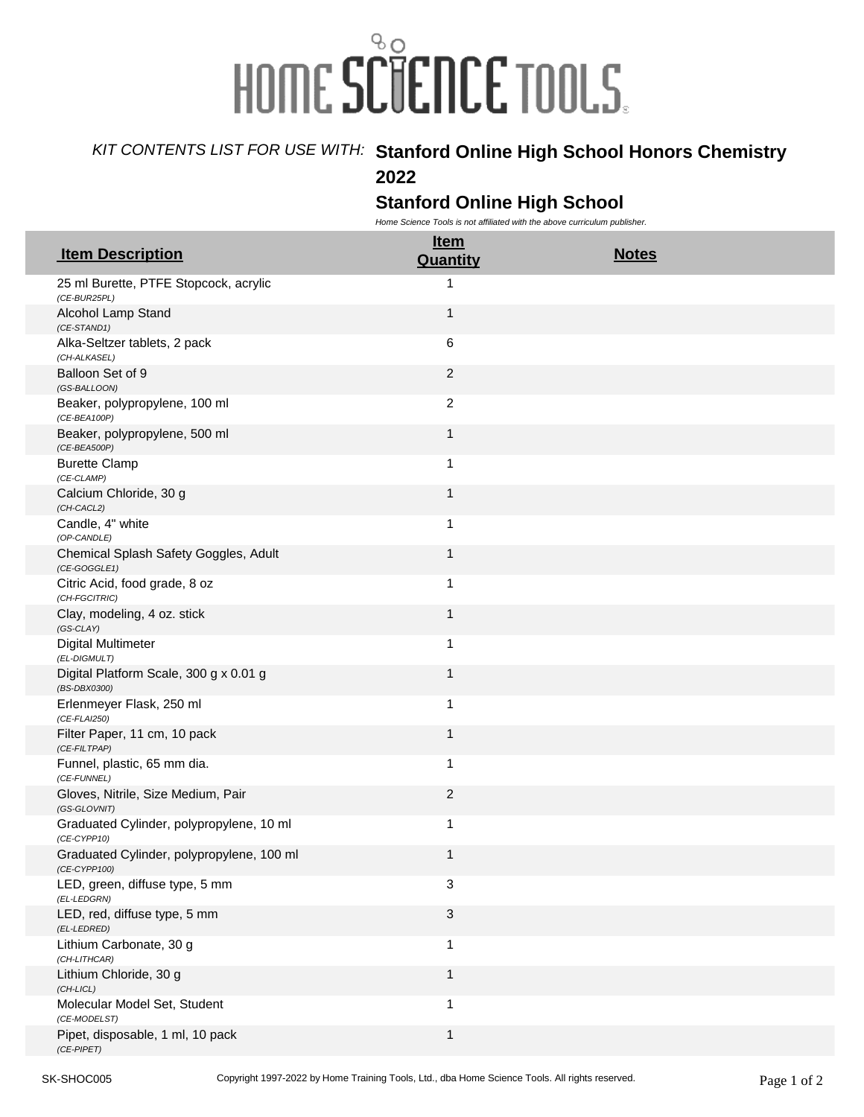## HOME SCIENCE TOOLS.

## *KIT CONTENTS LIST FOR USE WITH:* **Stanford Online High School Honors Chemistry**

**2022**

## **Stanford Online High School**

*Home Science Tools is not affiliated with the above curriculum publisher.* 

| <b>Item Description</b>                                        | <u>Item</u><br>Quantity | <b>Notes</b> |
|----------------------------------------------------------------|-------------------------|--------------|
| 25 ml Burette, PTFE Stopcock, acrylic<br>(CE-BUR25PL)          | 1                       |              |
| Alcohol Lamp Stand<br>(CE-STAND1)                              | 1                       |              |
| Alka-Seltzer tablets, 2 pack<br>(CH-ALKASEL)                   | 6                       |              |
| Balloon Set of 9<br>(GS-BALLOON)                               | $\overline{c}$          |              |
| Beaker, polypropylene, 100 ml<br>$(CE-BEA100P)$                | $\overline{c}$          |              |
| Beaker, polypropylene, 500 ml<br>$(CE-BEA500P)$                | $\mathbf{1}$            |              |
| <b>Burette Clamp</b><br>(CE-CLAMP)                             | 1                       |              |
| Calcium Chloride, 30 g<br>(CH-CACL2)                           | $\mathbf 1$             |              |
| Candle, 4" white<br>(OP-CANDLE)                                | 1                       |              |
| Chemical Splash Safety Goggles, Adult<br>$(CE\text{-}GOGGLE1)$ | 1                       |              |
| Citric Acid, food grade, 8 oz<br>(CH-FGCITRIC)                 | 1                       |              |
| Clay, modeling, 4 oz. stick<br>(GS-CLAY)                       | 1                       |              |
| <b>Digital Multimeter</b><br>(EL-DIGMULT)                      | 1                       |              |
| Digital Platform Scale, 300 g x 0.01 g<br>(BS-DBX0300)         | $\mathbf{1}$            |              |
| Erlenmeyer Flask, 250 ml<br>$(CE$ -FLAI250)                    | 1                       |              |
| Filter Paper, 11 cm, 10 pack<br>(CE-FILTPAP)                   | $\mathbf 1$             |              |
| Funnel, plastic, 65 mm dia.<br>(CE-FUNNEL)                     | 1                       |              |
| Gloves, Nitrile, Size Medium, Pair<br>(GS-GLOVNIT)             | $\overline{c}$          |              |
| Graduated Cylinder, polypropylene, 10 ml<br>$(CE-CYPP10)$      | 1                       |              |
| Graduated Cylinder, polypropylene, 100 ml<br>(CE-CYPP100)      | 1                       |              |
| LED, green, diffuse type, 5 mm<br>(EL-LEDGRN)                  | 3                       |              |
| LED, red, diffuse type, 5 mm<br>(EL-LEDRED)                    | 3                       |              |
| Lithium Carbonate, 30 g<br>(CH-LITHCAR)                        | $\mathbf{1}$            |              |
| Lithium Chloride, 30 g<br>$(CH-LICL)$                          | $\mathbf{1}$            |              |
| Molecular Model Set, Student<br>(CE-MODELST)                   | 1                       |              |
| Pipet, disposable, 1 ml, 10 pack<br>$(CE-PIPET)$               | 1                       |              |